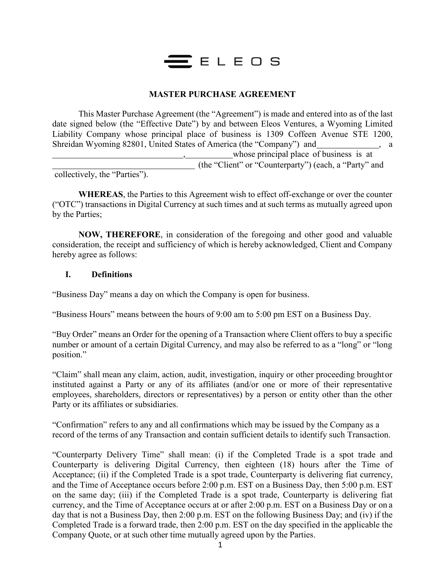

### **MASTER PURCHASE AGREEMENT**

This Master Purchase Agreement (the "Agreement") is made and entered into as of the last date signed below (the "Effective Date") by and between Eleos Ventures, a Wyoming Limited Liability Company whose principal place of business is 1309 Coffeen Avenue STE 1200, Shreidan Wyoming 82801, United States of America (the "Company") and , a whose principal place of business is at (the "Client" or "Counterparty") (each, a "Party" and

collectively, the "Parties").

**WHEREAS**, the Parties to this Agreement wish to effect off-exchange or over the counter ("OTC") transactions in Digital Currency at such times and at such terms as mutually agreed upon by the Parties;

**NOW, THEREFORE**, in consideration of the foregoing and other good and valuable consideration, the receipt and sufficiency of which is hereby acknowledged, Client and Company hereby agree as follows:

#### **I. Definitions**

"Business Day" means a day on which the Company is open for business.

"Business Hours" means between the hours of 9:00 am to 5:00 pm EST on a Business Day.

"Buy Order" means an Order for the opening of a Transaction where Client offers to buy a specific number or amount of a certain Digital Currency, and may also be referred to as a "long" or "long position."

"Claim" shall mean any claim, action, audit, investigation, inquiry or other proceeding brought or instituted against a Party or any of its affiliates (and/or one or more of their representative employees, shareholders, directors or representatives) by a person or entity other than the other Party or its affiliates or subsidiaries.

"Confirmation" refers to any and all confirmations which may be issued by the Company as a record of the terms of any Transaction and contain sufficient details to identify such Transaction.

"Counterparty Delivery Time" shall mean: (i) if the Completed Trade is a spot trade and Counterparty is delivering Digital Currency, then eighteen (18) hours after the Time of Acceptance; (ii) if the Completed Trade is a spot trade, Counterparty is delivering fiat currency, and the Time of Acceptance occurs before 2:00 p.m. EST on a Business Day, then 5:00 p.m. EST on the same day; (iii) if the Completed Trade is a spot trade, Counterparty is delivering fiat currency, and the Time of Acceptance occurs at or after 2:00 p.m. EST on a Business Day or on a day that is not a Business Day, then 2:00 p.m. EST on the following Business Day; and (iv) if the Completed Trade is a forward trade, then 2:00 p.m. EST on the day specified in the applicable the Company Quote, or at such other time mutually agreed upon by the Parties.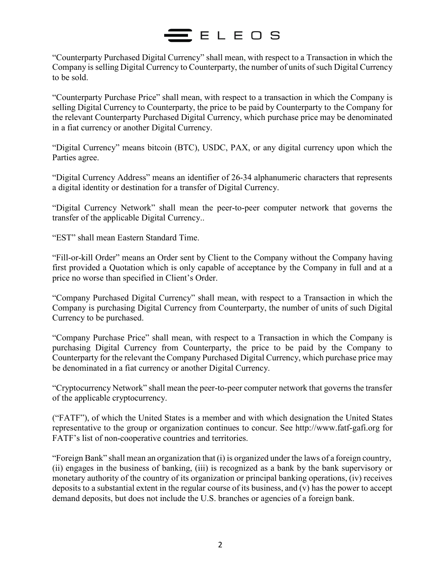"Counterparty Purchased Digital Currency" shall mean, with respect to a Transaction in which the Company is selling Digital Currency to Counterparty, the number of units of such Digital Currency to be sold.

"Counterparty Purchase Price" shall mean, with respect to a transaction in which the Company is selling Digital Currency to Counterparty, the price to be paid by Counterparty to the Company for the relevant Counterparty Purchased Digital Currency, which purchase price may be denominated in a fiat currency or another Digital Currency.

"Digital Currency" means bitcoin (BTC), USDC, PAX, or any digital currency upon which the Parties agree.

"Digital Currency Address" means an identifier of 26-34 alphanumeric characters that represents a digital identity or destination for a transfer of Digital Currency.

"Digital Currency Network" shall mean the peer-to-peer computer network that governs the transfer of the applicable Digital Currency..

"EST" shall mean Eastern Standard Time.

"Fill-or-kill Order" means an Order sent by Client to the Company without the Company having first provided a Quotation which is only capable of acceptance by the Company in full and at a price no worse than specified in Client's Order.

"Company Purchased Digital Currency" shall mean, with respect to a Transaction in which the Company is purchasing Digital Currency from Counterparty, the number of units of such Digital Currency to be purchased.

"Company Purchase Price" shall mean, with respect to a Transaction in which the Company is purchasing Digital Currency from Counterparty, the price to be paid by the Company to Counterparty for the relevant the Company Purchased Digital Currency, which purchase price may be denominated in a fiat currency or another Digital Currency.

"Cryptocurrency Network" shall mean the peer-to-peer computer network that governs the transfer of the applicable cryptocurrency.

("FATF"), of which the United States is a member and with which designation the United States representative to the group or organization continues to concur. See [http://www.fatf-gafi.org f](http://www.fatf-gafi.org/)or FATF's list of non-cooperative countries and territories.

"Foreign Bank" shall mean an organization that (i) is organized under the laws of a foreign country, (ii) engages in the business of banking, (iii) is recognized as a bank by the bank supervisory or monetary authority of the country of its organization or principal banking operations, (iv) receives deposits to a substantial extent in the regular course of its business, and (v) has the power to accept demand deposits, but does not include the U.S. branches or agencies of a foreign bank.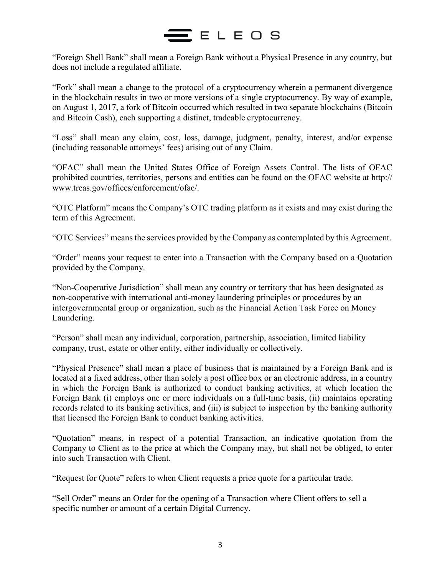"Foreign Shell Bank" shall mean a Foreign Bank without a Physical Presence in any country, but does not include a regulated affiliate.

"Fork" shall mean a change to the protocol of a cryptocurrency wherein a permanent divergence in the blockchain results in two or more versions of a single cryptocurrency. By way of example, on August 1, 2017, a fork of Bitcoin occurred which resulted in two separate blockchains (Bitcoin and Bitcoin Cash), each supporting a distinct, tradeable cryptocurrency.

"Loss" shall mean any claim, cost, loss, damage, judgment, penalty, interest, and/or expense (including reasonable attorneys' fees) arising out of any Claim.

"OFAC" shall mean the United States Office of Foreign Assets Control. The lists of OFAC prohibited countries, territories, persons and entities can be found on the OFAC website at http:// [www.treas.gov/offices/enforcement/ofac/.](http://www.treas.gov/offices/enforcement/ofac/)

"OTC Platform" means the Company's OTC trading platform as it exists and may exist during the term of this Agreement.

"OTC Services" means the services provided by the Company as contemplated by this Agreement.

"Order" means your request to enter into a Transaction with the Company based on a Quotation provided by the Company.

"Non-Cooperative Jurisdiction" shall mean any country or territory that has been designated as non-cooperative with international anti-money laundering principles or procedures by an intergovernmental group or organization, such as the Financial Action Task Force on Money Laundering.

"Person" shall mean any individual, corporation, partnership, association, limited liability company, trust, estate or other entity, either individually or collectively.

"Physical Presence" shall mean a place of business that is maintained by a Foreign Bank and is located at a fixed address, other than solely a post office box or an electronic address, in a country in which the Foreign Bank is authorized to conduct banking activities, at which location the Foreign Bank (i) employs one or more individuals on a full-time basis, (ii) maintains operating records related to its banking activities, and (iii) is subject to inspection by the banking authority that licensed the Foreign Bank to conduct banking activities.

"Quotation" means, in respect of a potential Transaction, an indicative quotation from the Company to Client as to the price at which the Company may, but shall not be obliged, to enter into such Transaction with Client.

"Request for Quote" refers to when Client requests a price quote for a particular trade.

"Sell Order" means an Order for the opening of a Transaction where Client offers to sell a specific number or amount of a certain Digital Currency.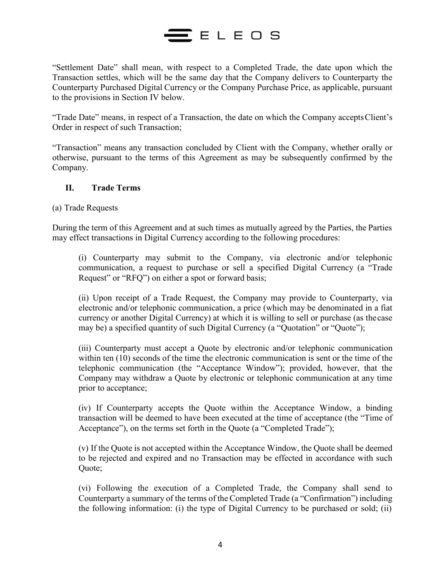"Settlement Date" shall mean, with respect to a Completed Trade, the date upon which the Transaction settles, which will be the same day that the Company delivers to Counterparty the Counterparty Purchased Digital Currency or the Company Purchase Price, as applicable, pursuant to the provisions in Section IV below.

"Trade Date" means, in respect of a Transaction, the date on which the Company acceptsClient's Order in respect of such Transaction;

"Transaction" means any transaction concluded by Client with the Company, whether orally or otherwise, pursuant to the terms of this Agreement as may be subsequently confirmed by the Company.

## **II. Trade Terms**

(a) Trade Requests

During the term of this Agreement and at such times as mutually agreed by the Parties, the Parties may effect transactions in Digital Currency according to the following procedures:

(i) Counterparty may submit to the Company, via electronic and/or telephonic communication, a request to purchase or sell a specified Digital Currency (a "Trade Request" or "RFQ") on either a spot or forward basis;

(ii) Upon receipt of a Trade Request, the Company may provide to Counterparty, via electronic and/or telephonic communication, a price (which may be denominated in a fiat currency or another Digital Currency) at which it is willing to sell or purchase (as thecase may be) a specified quantity of such Digital Currency (a "Quotation" or "Quote");

(iii) Counterparty must accept a Quote by electronic and/or telephonic communication within ten (10) seconds of the time the electronic communication is sent or the time of the telephonic communication (the "Acceptance Window"); provided, however, that the Company may withdraw a Quote by electronic or telephonic communication at any time prior to acceptance;

(iv) If Counterparty accepts the Quote within the Acceptance Window, a binding transaction will be deemed to have been executed at the time of acceptance (the "Time of Acceptance"), on the terms set forth in the Quote (a "Completed Trade");

(v) If the Quote is not accepted within the Acceptance Window, the Quote shall be deemed to be rejected and expired and no Transaction may be effected in accordance with such Quote;

(vi) Following the execution of a Completed Trade, the Company shall send to Counterparty a summary of the terms of the Completed Trade (a "Confirmation") including the following information: (i) the type of Digital Currency to be purchased or sold; (ii)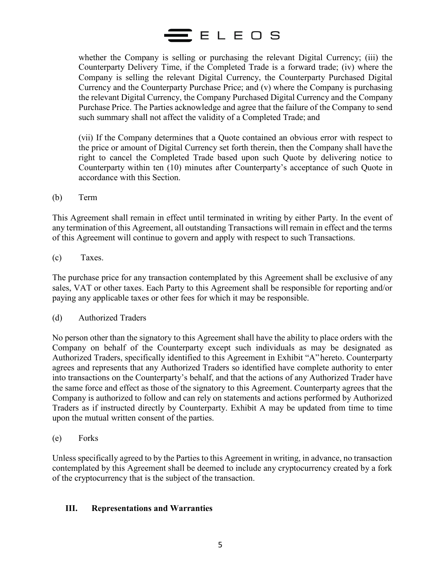

whether the Company is selling or purchasing the relevant Digital Currency; (iii) the Counterparty Delivery Time, if the Completed Trade is a forward trade; (iv) where the Company is selling the relevant Digital Currency, the Counterparty Purchased Digital Currency and the Counterparty Purchase Price; and (v) where the Company is purchasing the relevant Digital Currency, the Company Purchased Digital Currency and the Company Purchase Price. The Parties acknowledge and agree that the failure of the Company to send such summary shall not affect the validity of a Completed Trade; and

(vii) If the Company determines that a Quote contained an obvious error with respect to the price or amount of Digital Currency set forth therein, then the Company shall have the right to cancel the Completed Trade based upon such Quote by delivering notice to Counterparty within ten (10) minutes after Counterparty's acceptance of such Quote in accordance with this Section.

(b) Term

This Agreement shall remain in effect until terminated in writing by either Party. In the event of any termination of this Agreement, all outstanding Transactions will remain in effect and the terms of this Agreement will continue to govern and apply with respect to such Transactions.

(c) Taxes.

The purchase price for any transaction contemplated by this Agreement shall be exclusive of any sales, VAT or other taxes. Each Party to this Agreement shall be responsible for reporting and/or paying any applicable taxes or other fees for which it may be responsible.

(d) Authorized Traders

No person other than the signatory to this Agreement shall have the ability to place orders with the Company on behalf of the Counterparty except such individuals as may be designated as Authorized Traders, specifically identified to this Agreement in Exhibit "A"hereto. Counterparty agrees and represents that any Authorized Traders so identified have complete authority to enter into transactions on the Counterparty's behalf, and that the actions of any Authorized Trader have the same force and effect as those of the signatory to this Agreement. Counterparty agrees that the Company is authorized to follow and can rely on statements and actions performed by Authorized Traders as if instructed directly by Counterparty. Exhibit A may be updated from time to time upon the mutual written consent of the parties.

(e) Forks

Unless specifically agreed to by the Parties to this Agreement in writing, in advance, no transaction contemplated by this Agreement shall be deemed to include any cryptocurrency created by a fork of the cryptocurrency that is the subject of the transaction.

### **III. Representations and Warranties**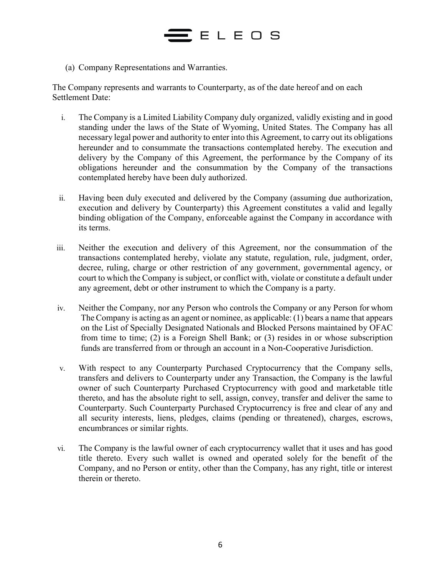(a) Company Representations and Warranties.

The Company represents and warrants to Counterparty, as of the date hereof and on each Settlement Date:

- i. The Company is a Limited Liability Company duly organized, validly existing and in good standing under the laws of the State of Wyoming, United States. The Company has all necessary legal power and authority to enter into this Agreement, to carry out its obligations hereunder and to consummate the transactions contemplated hereby. The execution and delivery by the Company of this Agreement, the performance by the Company of its obligations hereunder and the consummation by the Company of the transactions contemplated hereby have been duly authorized.
- ii. Having been duly executed and delivered by the Company (assuming due authorization, execution and delivery by Counterparty) this Agreement constitutes a valid and legally binding obligation of the Company, enforceable against the Company in accordance with its terms.
- iii. Neither the execution and delivery of this Agreement, nor the consummation of the transactions contemplated hereby, violate any statute, regulation, rule, judgment, order, decree, ruling, charge or other restriction of any government, governmental agency, or court to which the Company is subject, or conflict with, violate or constitute a default under any agreement, debt or other instrument to which the Company is a party.
- iv. Neither the Company, nor any Person who controls the Company or any Person for whom The Company is acting as an agent or nominee, as applicable: (1) bears a name that appears on the List of Specially Designated Nationals and Blocked Persons maintained by OFAC from time to time; (2) is a Foreign Shell Bank; or (3) resides in or whose subscription funds are transferred from or through an account in a Non-Cooperative Jurisdiction.
- v. With respect to any Counterparty Purchased Cryptocurrency that the Company sells, transfers and delivers to Counterparty under any Transaction, the Company is the lawful owner of such Counterparty Purchased Cryptocurrency with good and marketable title thereto, and has the absolute right to sell, assign, convey, transfer and deliver the same to Counterparty. Such Counterparty Purchased Cryptocurrency is free and clear of any and all security interests, liens, pledges, claims (pending or threatened), charges, escrows, encumbrances or similar rights.
- vi. The Company is the lawful owner of each cryptocurrency wallet that it uses and has good title thereto. Every such wallet is owned and operated solely for the benefit of the Company, and no Person or entity, other than the Company, has any right, title or interest therein or thereto.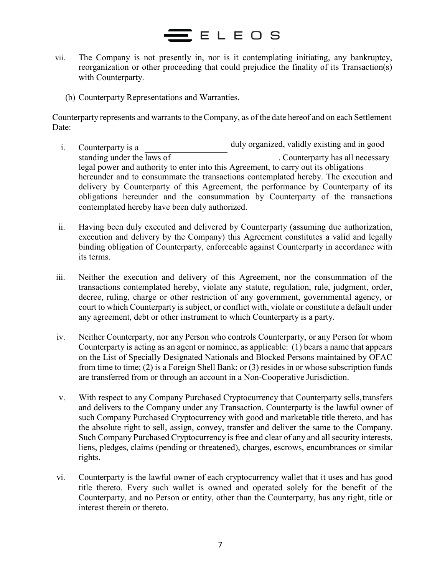## ELEOS

- vii. The Company is not presently in, nor is it contemplating initiating, any bankruptcy, reorganization or other proceeding that could prejudice the finality of its Transaction(s) with Counterparty.
	- (b) Counterparty Representations and Warranties.

Counterparty represents and warrants to the Company, as of the date hereof and on each Settlement Date:

- i. Counterparty is a duly organized, validly existing and in good standing under the laws of  $\overline{\phantom{a}}$  . Counterparty has all necessary legal power and authority to enter into this Agreement, to carry out its obligations hereunder and to consummate the transactions contemplated hereby. The execution and delivery by Counterparty of this Agreement, the performance by Counterparty of its obligations hereunder and the consummation by Counterparty of the transactions contemplated hereby have been duly authorized.
- ii. Having been duly executed and delivered by Counterparty (assuming due authorization, execution and delivery by the Company) this Agreement constitutes a valid and legally binding obligation of Counterparty, enforceable against Counterparty in accordance with its terms.
- iii. Neither the execution and delivery of this Agreement, nor the consummation of the transactions contemplated hereby, violate any statute, regulation, rule, judgment, order, decree, ruling, charge or other restriction of any government, governmental agency, or court to which Counterparty is subject, or conflict with, violate or constitute a default under any agreement, debt or other instrument to which Counterparty is a party.
- iv. Neither Counterparty, nor any Person who controls Counterparty, or any Person for whom Counterparty is acting as an agent or nominee, as applicable: (1) bears a name that appears on the List of Specially Designated Nationals and Blocked Persons maintained by OFAC from time to time; (2) is a Foreign Shell Bank; or (3) resides in or whose subscription funds are transferred from or through an account in a Non-Cooperative Jurisdiction.
- v. With respect to any Company Purchased Cryptocurrency that Counterparty sells,transfers and delivers to the Company under any Transaction, Counterparty is the lawful owner of such Company Purchased Cryptocurrency with good and marketable title thereto, and has the absolute right to sell, assign, convey, transfer and deliver the same to the Company. Such Company Purchased Cryptocurrency is free and clear of any and all security interests, liens, pledges, claims (pending or threatened), charges, escrows, encumbrances or similar rights.
- vi. Counterparty is the lawful owner of each cryptocurrency wallet that it uses and has good title thereto. Every such wallet is owned and operated solely for the benefit of the Counterparty, and no Person or entity, other than the Counterparty, has any right, title or interest therein or thereto.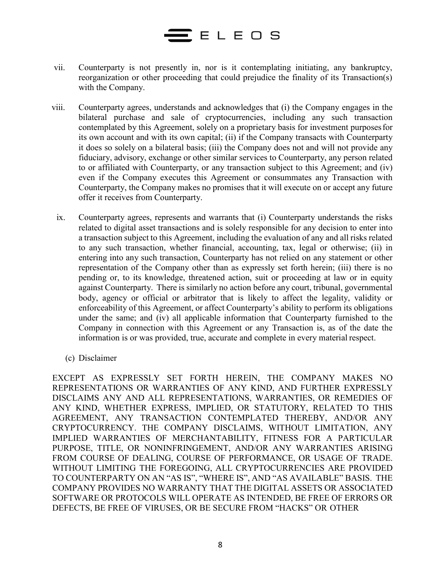# $E$ ELEOS

- vii. Counterparty is not presently in, nor is it contemplating initiating, any bankruptcy, reorganization or other proceeding that could prejudice the finality of its Transaction(s) with the Company.
- viii. Counterparty agrees, understands and acknowledges that (i) the Company engages in the bilateral purchase and sale of cryptocurrencies, including any such transaction contemplated by this Agreement, solely on a proprietary basis for investment purposesfor its own account and with its own capital; (ii) if the Company transacts with Counterparty it does so solely on a bilateral basis; (iii) the Company does not and will not provide any fiduciary, advisory, exchange or other similar services to Counterparty, any person related to or affiliated with Counterparty, or any transaction subject to this Agreement; and (iv) even if the Company executes this Agreement or consummates any Transaction with Counterparty, the Company makes no promises that it will execute on or accept any future offer it receives from Counterparty.
	- ix. Counterparty agrees, represents and warrants that (i) Counterparty understands the risks related to digital asset transactions and is solely responsible for any decision to enter into a transaction subject to this Agreement, including the evaluation of any and all risks related to any such transaction, whether financial, accounting, tax, legal or otherwise; (ii) in entering into any such transaction, Counterparty has not relied on any statement or other representation of the Company other than as expressly set forth herein; (iii) there is no pending or, to its knowledge, threatened action, suit or proceeding at law or in equity against Counterparty. There is similarly no action before any court, tribunal, governmental body, agency or official or arbitrator that is likely to affect the legality, validity or enforceability of this Agreement, or affect Counterparty's ability to perform its obligations under the same; and (iv) all applicable information that Counterparty furnished to the Company in connection with this Agreement or any Transaction is, as of the date the information is or was provided, true, accurate and complete in every material respect.
		- (c) Disclaimer

EXCEPT AS EXPRESSLY SET FORTH HEREIN, THE COMPANY MAKES NO REPRESENTATIONS OR WARRANTIES OF ANY KIND, AND FURTHER EXPRESSLY DISCLAIMS ANY AND ALL REPRESENTATIONS, WARRANTIES, OR REMEDIES OF ANY KIND, WHETHER EXPRESS, IMPLIED, OR STATUTORY, RELATED TO THIS AGREEMENT, ANY TRANSACTION CONTEMPLATED THEREBY, AND/OR ANY CRYPTOCURRENCY. THE COMPANY DISCLAIMS, WITHOUT LIMITATION, ANY IMPLIED WARRANTIES OF MERCHANTABILITY, FITNESS FOR A PARTICULAR PURPOSE, TITLE, OR NONINFRINGEMENT, AND/OR ANY WARRANTIES ARISING FROM COURSE OF DEALING, COURSE OF PERFORMANCE, OR USAGE OF TRADE. WITHOUT LIMITING THE FOREGOING, ALL CRYPTOCURRENCIES ARE PROVIDED TO COUNTERPARTY ON AN "AS IS", "WHERE IS", AND "AS AVAILABLE" BASIS. THE COMPANY PROVIDES NO WARRANTY THAT THE DIGITAL ASSETS OR ASSOCIATED SOFTWARE OR PROTOCOLS WILL OPERATE AS INTENDED, BE FREE OF ERRORS OR DEFECTS, BE FREE OF VIRUSES, OR BE SECURE FROM "HACKS" OR OTHER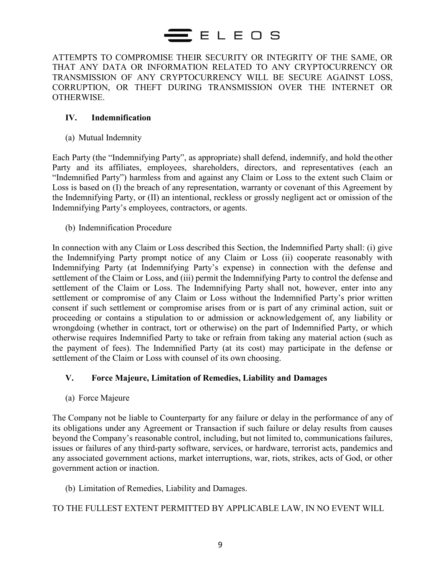ATTEMPTS TO COMPROMISE THEIR SECURITY OR INTEGRITY OF THE SAME, OR THAT ANY DATA OR INFORMATION RELATED TO ANY CRYPTOCURRENCY OR TRANSMISSION OF ANY CRYPTOCURRENCY WILL BE SECURE AGAINST LOSS, CORRUPTION, OR THEFT DURING TRANSMISSION OVER THE INTERNET OR OTHERWISE.

### **IV. Indemnification**

(a) Mutual Indemnity

Each Party (the "Indemnifying Party", as appropriate) shall defend, indemnify, and hold the other Party and its affiliates, employees, shareholders, directors, and representatives (each an "Indemnified Party") harmless from and against any Claim or Loss to the extent such Claim or Loss is based on (I) the breach of any representation, warranty or covenant of this Agreement by the Indemnifying Party, or (II) an intentional, reckless or grossly negligent act or omission of the Indemnifying Party's employees, contractors, or agents.

(b) Indemnification Procedure

In connection with any Claim or Loss described this Section, the Indemnified Party shall: (i) give the Indemnifying Party prompt notice of any Claim or Loss (ii) cooperate reasonably with Indemnifying Party (at Indemnifying Party's expense) in connection with the defense and settlement of the Claim or Loss, and (iii) permit the Indemnifying Party to control the defense and settlement of the Claim or Loss. The Indemnifying Party shall not, however, enter into any settlement or compromise of any Claim or Loss without the Indemnified Party's prior written consent if such settlement or compromise arises from or is part of any criminal action, suit or proceeding or contains a stipulation to or admission or acknowledgement of, any liability or wrongdoing (whether in contract, tort or otherwise) on the part of Indemnified Party, or which otherwise requires Indemnified Party to take or refrain from taking any material action (such as the payment of fees). The Indemnified Party (at its cost) may participate in the defense or settlement of the Claim or Loss with counsel of its own choosing.

## **V. Force Majeure, Limitation of Remedies, Liability and Damages**

(a) Force Majeure

The Company not be liable to Counterparty for any failure or delay in the performance of any of its obligations under any Agreement or Transaction if such failure or delay results from causes beyond the Company's reasonable control, including, but not limited to, communications failures, issues or failures of any third-party software, services, or hardware, terrorist acts, pandemics and any associated government actions, market interruptions, war, riots, strikes, acts of God, or other government action or inaction.

(b) Limitation of Remedies, Liability and Damages.

## TO THE FULLEST EXTENT PERMITTED BY APPLICABLE LAW, IN NO EVENT WILL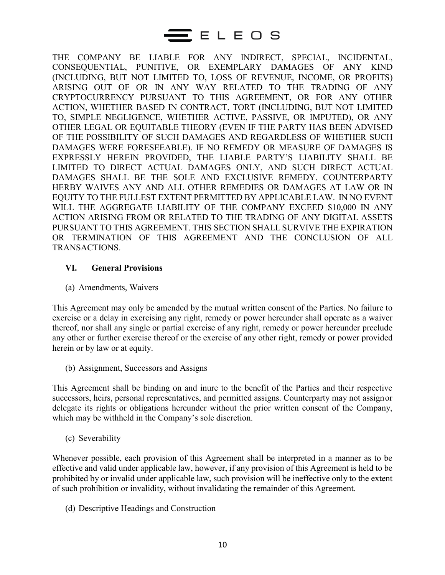THE COMPANY BE LIABLE FOR ANY INDIRECT, SPECIAL, INCIDENTAL, CONSEQUENTIAL, PUNITIVE, OR EXEMPLARY DAMAGES OF ANY KIND (INCLUDING, BUT NOT LIMITED TO, LOSS OF REVENUE, INCOME, OR PROFITS) ARISING OUT OF OR IN ANY WAY RELATED TO THE TRADING OF ANY CRYPTOCURRENCY PURSUANT TO THIS AGREEMENT, OR FOR ANY OTHER ACTION, WHETHER BASED IN CONTRACT, TORT (INCLUDING, BUT NOT LIMITED TO, SIMPLE NEGLIGENCE, WHETHER ACTIVE, PASSIVE, OR IMPUTED), OR ANY OTHER LEGAL OR EQUITABLE THEORY (EVEN IF THE PARTY HAS BEEN ADVISED OF THE POSSIBILITY OF SUCH DAMAGES AND REGARDLESS OF WHETHER SUCH DAMAGES WERE FORESEEABLE). IF NO REMEDY OR MEASURE OF DAMAGES IS EXPRESSLY HEREIN PROVIDED, THE LIABLE PARTY'S LIABILITY SHALL BE LIMITED TO DIRECT ACTUAL DAMAGES ONLY, AND SUCH DIRECT ACTUAL DAMAGES SHALL BE THE SOLE AND EXCLUSIVE REMEDY. COUNTERPARTY HERBY WAIVES ANY AND ALL OTHER REMEDIES OR DAMAGES AT LAW OR IN EQUITY TO THE FULLEST EXTENT PERMITTED BY APPLICABLE LAW. IN NO EVENT WILL THE AGGREGATE LIABILITY OF THE COMPANY EXCEED \$10,000 IN ANY ACTION ARISING FROM OR RELATED TO THE TRADING OF ANY DIGITAL ASSETS PURSUANT TO THIS AGREEMENT. THIS SECTION SHALL SURVIVE THE EXPIRATION OR TERMINATION OF THIS AGREEMENT AND THE CONCLUSION OF ALL TRANSACTIONS.

### **VI. General Provisions**

(a) Amendments, Waivers

This Agreement may only be amended by the mutual written consent of the Parties. No failure to exercise or a delay in exercising any right, remedy or power hereunder shall operate as a waiver thereof, nor shall any single or partial exercise of any right, remedy or power hereunder preclude any other or further exercise thereof or the exercise of any other right, remedy or power provided herein or by law or at equity.

(b) Assignment, Successors and Assigns

This Agreement shall be binding on and inure to the benefit of the Parties and their respective successors, heirs, personal representatives, and permitted assigns. Counterparty may not assignor delegate its rights or obligations hereunder without the prior written consent of the Company, which may be withheld in the Company's sole discretion.

(c) Severability

Whenever possible, each provision of this Agreement shall be interpreted in a manner as to be effective and valid under applicable law, however, if any provision of this Agreement is held to be prohibited by or invalid under applicable law, such provision will be ineffective only to the extent of such prohibition or invalidity, without invalidating the remainder of this Agreement.

(d) Descriptive Headings and Construction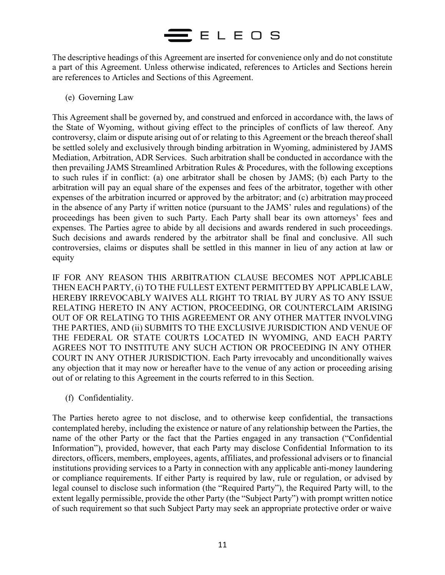## $\mathbf{\Xi}$  ELEOS

The descriptive headings of this Agreement are inserted for convenience only and do not constitute a part of this Agreement. Unless otherwise indicated, references to Articles and Sections herein are references to Articles and Sections of this Agreement.

(e) Governing Law

This Agreement shall be governed by, and construed and enforced in accordance with, the laws of the State of Wyoming, without giving effect to the principles of conflicts of law thereof. Any controversy, claim or dispute arising out of or relating to this Agreement or the breach thereof shall be settled solely and exclusively through binding arbitration in Wyoming, administered by JAMS Mediation, Arbitration, ADR Services. Such arbitration shall be conducted in accordance with the then prevailing JAMS Streamlined Arbitration Rules & Procedures, with the following exceptions to such rules if in conflict: (a) one arbitrator shall be chosen by JAMS; (b) each Party to the arbitration will pay an equal share of the expenses and fees of the arbitrator, together with other expenses of the arbitration incurred or approved by the arbitrator; and (c) arbitration mayproceed in the absence of any Party if written notice (pursuant to the JAMS' rules and regulations) of the proceedings has been given to such Party. Each Party shall bear its own attorneys' fees and expenses. The Parties agree to abide by all decisions and awards rendered in such proceedings. Such decisions and awards rendered by the arbitrator shall be final and conclusive. All such controversies, claims or disputes shall be settled in this manner in lieu of any action at law or equity

IF FOR ANY REASON THIS ARBITRATION CLAUSE BECOMES NOT APPLICABLE THEN EACH PARTY, (i) TO THE FULLEST EXTENT PERMITTED BY APPLICABLE LAW, HEREBY IRREVOCABLY WAIVES ALL RIGHT TO TRIAL BY JURY AS TO ANY ISSUE RELATING HERETO IN ANY ACTION, PROCEEDING, OR COUNTERCLAIM ARISING OUT OF OR RELATING TO THIS AGREEMENT OR ANY OTHER MATTER INVOLVING THE PARTIES, AND (ii) SUBMITS TO THE EXCLUSIVE JURISDICTION AND VENUE OF THE FEDERAL OR STATE COURTS LOCATED IN WYOMING, AND EACH PARTY AGREES NOT TO INSTITUTE ANY SUCH ACTION OR PROCEEDING IN ANY OTHER COURT IN ANY OTHER JURISDICTION. Each Party irrevocably and unconditionally waives any objection that it may now or hereafter have to the venue of any action or proceeding arising out of or relating to this Agreement in the courts referred to in this Section.

(f) Confidentiality.

The Parties hereto agree to not disclose, and to otherwise keep confidential, the transactions contemplated hereby, including the existence or nature of any relationship between the Parties, the name of the other Party or the fact that the Parties engaged in any transaction ("Confidential Information"), provided, however, that each Party may disclose Confidential Information to its directors, officers, members, employees, agents, affiliates, and professional advisers or to financial institutions providing services to a Party in connection with any applicable anti-money laundering or compliance requirements. If either Party is required by law, rule or regulation, or advised by legal counsel to disclose such information (the "Required Party"), the Required Party will, to the extent legally permissible, provide the other Party (the "Subject Party") with prompt written notice of such requirement so that such Subject Party may seek an appropriate protective order or waive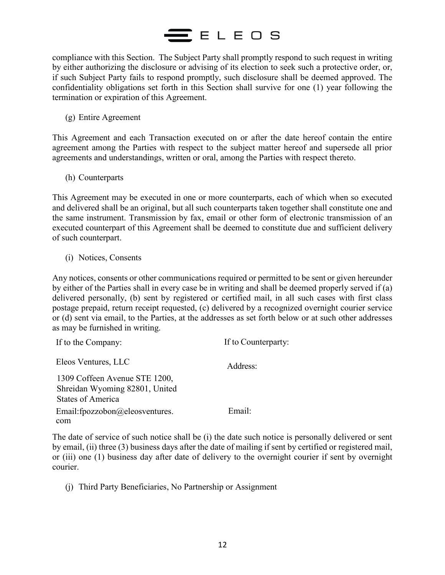compliance with this Section. The Subject Party shall promptly respond to such request in writing by either authorizing the disclosure or advising of its election to seek such a protective order, or, if such Subject Party fails to respond promptly, such disclosure shall be deemed approved. The confidentiality obligations set forth in this Section shall survive for one (1) year following the termination or expiration of this Agreement.

(g) Entire Agreement

This Agreement and each Transaction executed on or after the date hereof contain the entire agreement among the Parties with respect to the subject matter hereof and supersede all prior agreements and understandings, written or oral, among the Parties with respect thereto.

(h) Counterparts

This Agreement may be executed in one or more counterparts, each of which when so executed and delivered shall be an original, but all such counterparts taken together shall constitute one and the same instrument. Transmission by fax, email or other form of electronic transmission of an executed counterpart of this Agreement shall be deemed to constitute due and sufficient delivery of such counterpart.

(i) Notices, Consents

Any notices, consents or other communications required or permitted to be sent or given hereunder by either of the Parties shall in every case be in writing and shall be deemed properly served if (a) delivered personally, (b) sent by registered or certified mail, in all such cases with first class postage prepaid, return receipt requested, (c) delivered by a recognized overnight courier service or (d) sent via email, to the Parties, at the addresses as set forth below or at such other addresses as may be furnished in writing.

| If to the Company:                  | If to Counterparty: |  |  |
|-------------------------------------|---------------------|--|--|
| Eleos Ventures, LLC                 | Address:            |  |  |
| 1309 Coffeen Avenue STE 1200,       |                     |  |  |
| Shreidan Wyoming 82801, United      |                     |  |  |
| <b>States of America</b>            |                     |  |  |
| Email: fpozzobon $@$ eleosventures. | $E$ mail $\cdot$    |  |  |
| com                                 |                     |  |  |

The date of service of such notice shall be (i) the date such notice is personally delivered or sent by email, (ii) three (3) business days after the date of mailing if sent by certified or registered mail, or (iii) one (1) business day after date of delivery to the overnight courier if sent by overnight courier.

(j) Third Party Beneficiaries, No Partnership or Assignment